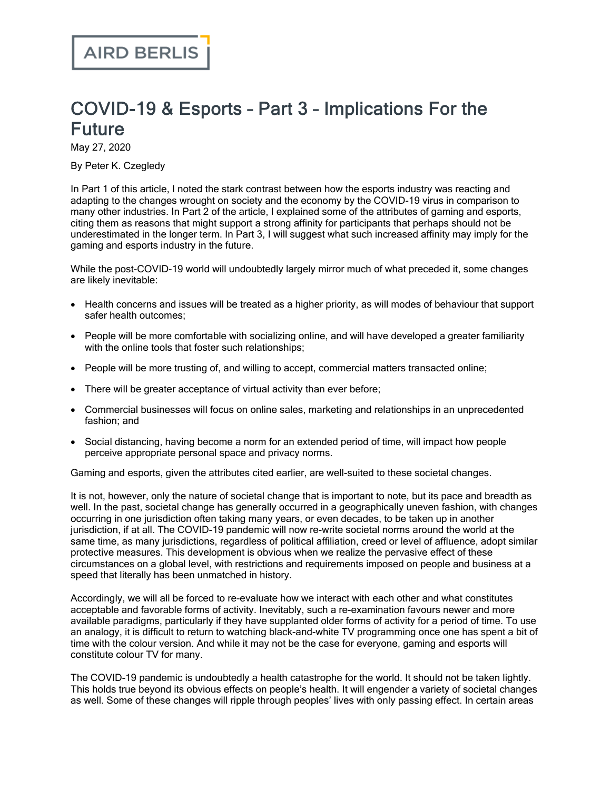## COVID-19 & Esports – Part 3 – Implications For the Future

May 27, 2020

By Peter K. Czegledy

In Part 1 of this [article](https://www.airdberlis.com/insights/publications/publication/covid-19-esports---part-1-the-economic-and-industry-impact), I noted the stark contrast between how the esports industry was reacting and adapting to the changes wrought on society and the economy by the COVID-19 virus in comparison to many other industries. In Part 2 of the [article](https://www.airdberlis.com/insights/publications/publication/covid-19-esports---part-2-the-socio-cultural-context), I explained some of the attributes of gaming and esports, citing them as reasons that might support a strong affinity for participants that perhaps should not be underestimated in the longer term. In Part 3, I will suggest what such increased affinity may imply for the gaming and esports industry in the future.

While the post-COVID-19 world will undoubtedly largely mirror much of what preceded it, some changes are likely inevitable:

- · Health concerns and issues will be treated as a higher priority, as will modes of behaviour that support safer health outcomes;
- · People will be more comfortable with socializing online, and will have developed a greater familiarity with the online tools that foster such relationships;
- · People will be more trusting of, and willing to accept, commercial matters transacted online;
- There will be greater acceptance of virtual activity than ever before;
- · Commercial businesses will focus on online sales, marketing and relationships in an unprecedented fashion; and
- · Social distancing, having become a norm for an extended period of time, will impact how people perceive appropriate personal space and privacy norms.

Gaming and esports, given the attributes cited earlier, are well-suited to these societal changes.

It is not, however, only the nature of societal change that is important to note, but its pace and breadth as well. In the past, societal change has generally occurred in a geographically uneven fashion, with changes occurring in one jurisdiction often taking many years, or even decades, to be taken up in another jurisdiction, if at all. The COVID-19 pandemic will now re-write societal norms around the world at the same time, as many jurisdictions, regardless of political affiliation, creed or level of affluence, adopt similar protective measures. This development is obvious when we realize the pervasive effect of these circumstances on a global level, with restrictions and requirements imposed on people and business at a speed that literally has been unmatched in history.

Accordingly, we will all be forced to re-evaluate how we interact with each other and what constitutes acceptable and favorable forms of activity. Inevitably, such a re-examination favours newer and more available paradigms, particularly if they have supplanted older forms of activity for a period of time. To use an analogy, it is difficult to return to watching black-and-white TV programming once one has spent a bit of time with the colour version. And while it may not be the case for everyone, gaming and esports will constitute colour TV for many.

The COVID-19 pandemic is undoubtedly a health catastrophe for the world. It should not be taken lightly. This holds true beyond its obvious effects on people's health. It will engender a variety of societal changes as well. Some of these changes will ripple through peoples' lives with only passing effect. In certain areas